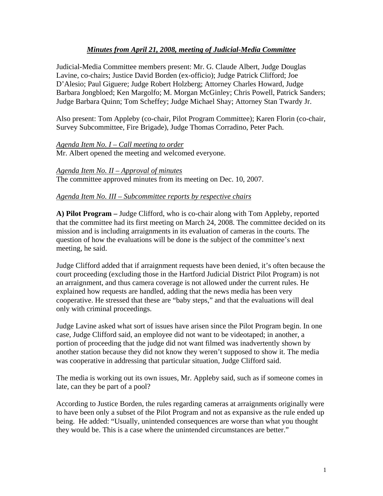# *Minutes from April 21, 2008, meeting of Judicial-Media Committee*

Judicial-Media Committee members present: Mr. G. Claude Albert, Judge Douglas Lavine, co-chairs; Justice David Borden (ex-officio); Judge Patrick Clifford; Joe D'Alesio; Paul Giguere; Judge Robert Holzberg; Attorney Charles Howard, Judge Barbara Jongbloed; Ken Margolfo; M. Morgan McGinley; Chris Powell, Patrick Sanders; Judge Barbara Quinn; Tom Scheffey; Judge Michael Shay; Attorney Stan Twardy Jr.

Also present: Tom Appleby (co-chair, Pilot Program Committee); Karen Florin (co-chair, Survey Subcommittee, Fire Brigade), Judge Thomas Corradino, Peter Pach.

# *Agenda Item No. I – Call meeting to order*

Mr. Albert opened the meeting and welcomed everyone.

*Agenda Item No. II – Approval of minutes*  The committee approved minutes from its meeting on Dec. 10, 2007.

### *Agenda Item No. III – Subcommittee reports by respective chairs*

**A) Pilot Program –** Judge Clifford, who is co-chair along with Tom Appleby, reported that the committee had its first meeting on March 24, 2008. The committee decided on its mission and is including arraignments in its evaluation of cameras in the courts. The question of how the evaluations will be done is the subject of the committee's next meeting, he said.

Judge Clifford added that if arraignment requests have been denied, it's often because the court proceeding (excluding those in the Hartford Judicial District Pilot Program) is not an arraignment, and thus camera coverage is not allowed under the current rules. He explained how requests are handled, adding that the news media has been very cooperative. He stressed that these are "baby steps," and that the evaluations will deal only with criminal proceedings.

Judge Lavine asked what sort of issues have arisen since the Pilot Program begin. In one case, Judge Clifford said, an employee did not want to be videotaped; in another, a portion of proceeding that the judge did not want filmed was inadvertently shown by another station because they did not know they weren't supposed to show it. The media was cooperative in addressing that particular situation, Judge Clifford said.

The media is working out its own issues, Mr. Appleby said, such as if someone comes in late, can they be part of a pool?

According to Justice Borden, the rules regarding cameras at arraignments originally were to have been only a subset of the Pilot Program and not as expansive as the rule ended up being. He added: "Usually, unintended consequences are worse than what you thought they would be. This is a case where the unintended circumstances are better."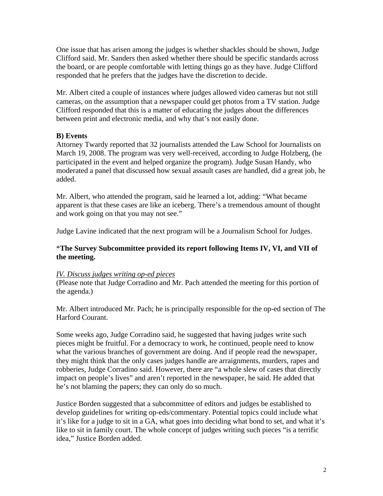One issue that has arisen among the judges is whether shackles should be shown, Judge Clifford said. Mr. Sanders then asked whether there should be specific standards across the board, or are people comfortable with letting things go as they have. Judge Clifford responded that he prefers that the judges have the discretion to decide.

Mr. Albert cited a couple of instances where judges allowed video cameras but not still cameras, on the assumption that a newspaper could get photos from a TV station. Judge Clifford responded that this is a matter of educating the judges about the differences between print and electronic media, and why that's not easily done.

# **B) Events**

Attorney Twardy reported that 32 journalists attended the Law School for Journalists on March 19, 2008. The program was very well-received, according to Judge Holzberg, (he participated in the event and helped organize the program). Judge Susan Handy, who moderated a panel that discussed how sexual assault cases are handled, did a great job, he added.

Mr. Albert, who attended the program, said he learned a lot, adding: "What became apparent is that these cases are like an iceberg. There's a tremendous amount of thought and work going on that you may not see."

Judge Lavine indicated that the next program will be a Journalism School for Judges.

### \***The Survey Subcommittee provided its report following Items IV, VI, and VII of the meeting.**

#### *IV. Discuss judges writing op-ed pieces*

(Please note that Judge Corradino and Mr. Pach attended the meeting for this portion of the agenda.)

Mr. Albert introduced Mr. Pach; he is principally responsible for the op-ed section of The Harford Courant.

Some weeks ago, Judge Corradino said, he suggested that having judges write such pieces might be fruitful. For a democracy to work, he continued, people need to know what the various branches of government are doing. And if people read the newspaper, they might think that the only cases judges handle are arraignments, murders, rapes and robberies, Judge Corradino said. However, there are "a whole slew of cases that directly impact on people's lives" and aren't reported in the newspaper, he said. He added that he's not blaming the papers; they can only do so much.

Justice Borden suggested that a subcommittee of editors and judges be established to develop guidelines for writing op-eds/commentary. Potential topics could include what it's like for a judge to sit in a GA, what goes into deciding what bond to set, and what it's like to sit in family court. The whole concept of judges writing such pieces "is a terrific idea," Justice Borden added.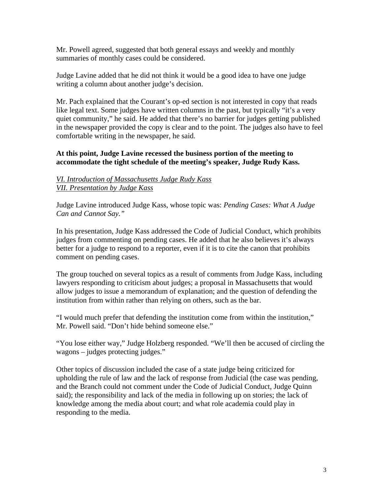Mr. Powell agreed, suggested that both general essays and weekly and monthly summaries of monthly cases could be considered.

Judge Lavine added that he did not think it would be a good idea to have one judge writing a column about another judge's decision.

Mr. Pach explained that the Courant's op-ed section is not interested in copy that reads like legal text. Some judges have written columns in the past, but typically "it's a very quiet community," he said. He added that there's no barrier for judges getting published in the newspaper provided the copy is clear and to the point. The judges also have to feel comfortable writing in the newspaper, he said.

# **At this point, Judge Lavine recessed the business portion of the meeting to accommodate the tight schedule of the meeting's speaker, Judge Rudy Kass.**

# *VI. Introduction of Massachusetts Judge Rudy Kass VII. Presentation by Judge Kass*

Judge Lavine introduced Judge Kass, whose topic was: *Pending Cases: What A Judge Can and Cannot Say."* 

In his presentation, Judge Kass addressed the Code of Judicial Conduct, which prohibits judges from commenting on pending cases. He added that he also believes it's always better for a judge to respond to a reporter, even if it is to cite the canon that prohibits comment on pending cases.

The group touched on several topics as a result of comments from Judge Kass, including lawyers responding to criticism about judges; a proposal in Massachusetts that would allow judges to issue a memorandum of explanation; and the question of defending the institution from within rather than relying on others, such as the bar.

"I would much prefer that defending the institution come from within the institution," Mr. Powell said. "Don't hide behind someone else."

"You lose either way," Judge Holzberg responded. "We'll then be accused of circling the wagons – judges protecting judges."

Other topics of discussion included the case of a state judge being criticized for upholding the rule of law and the lack of response from Judicial (the case was pending, and the Branch could not comment under the Code of Judicial Conduct, Judge Quinn said); the responsibility and lack of the media in following up on stories; the lack of knowledge among the media about court; and what role academia could play in responding to the media.